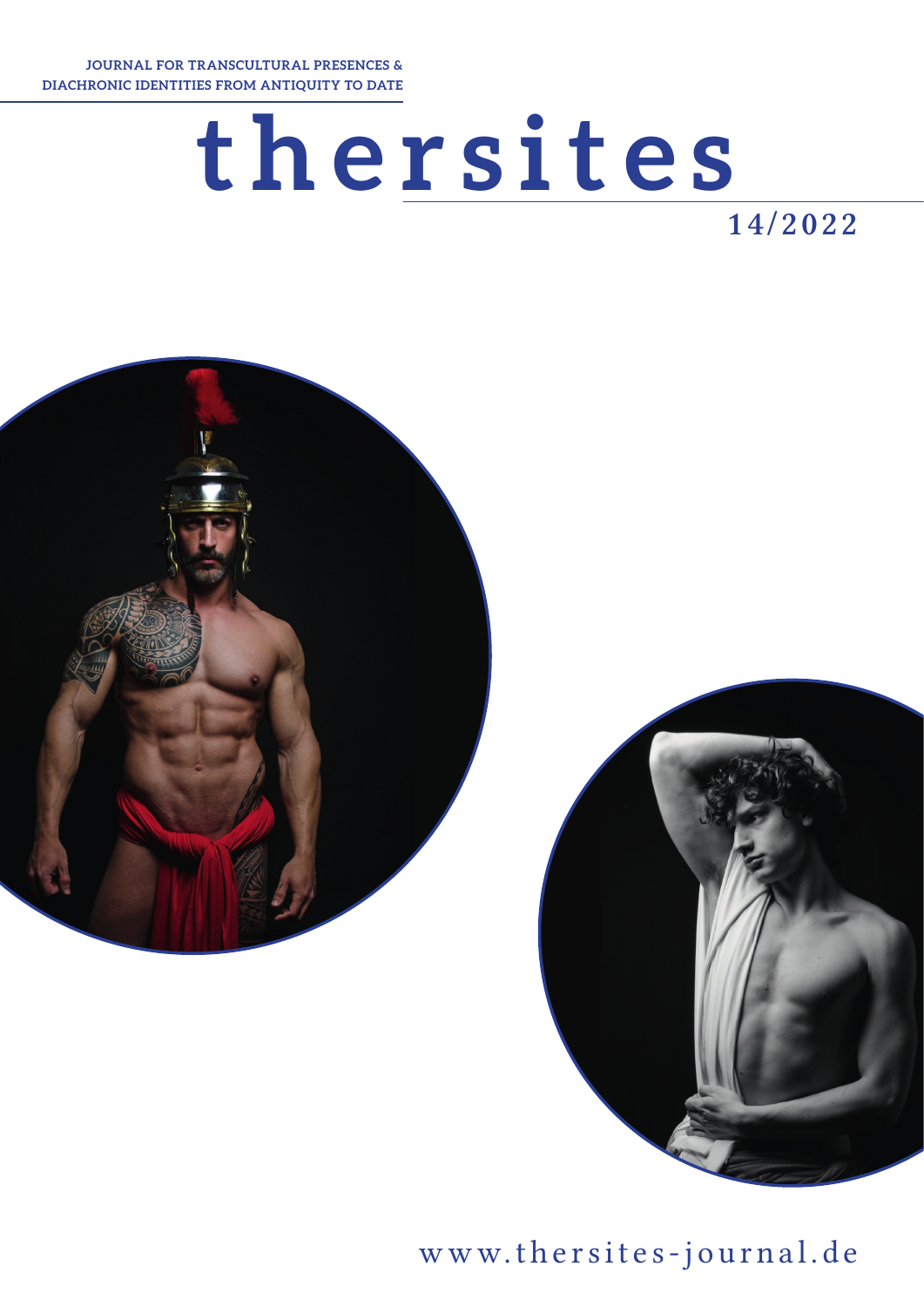**Journal for Transcultural Presences & Diachronic Identities from Antiquity to Date**

## **thersites** 14/2022





[www.thersites-journal.de](https://thersites-journal.de)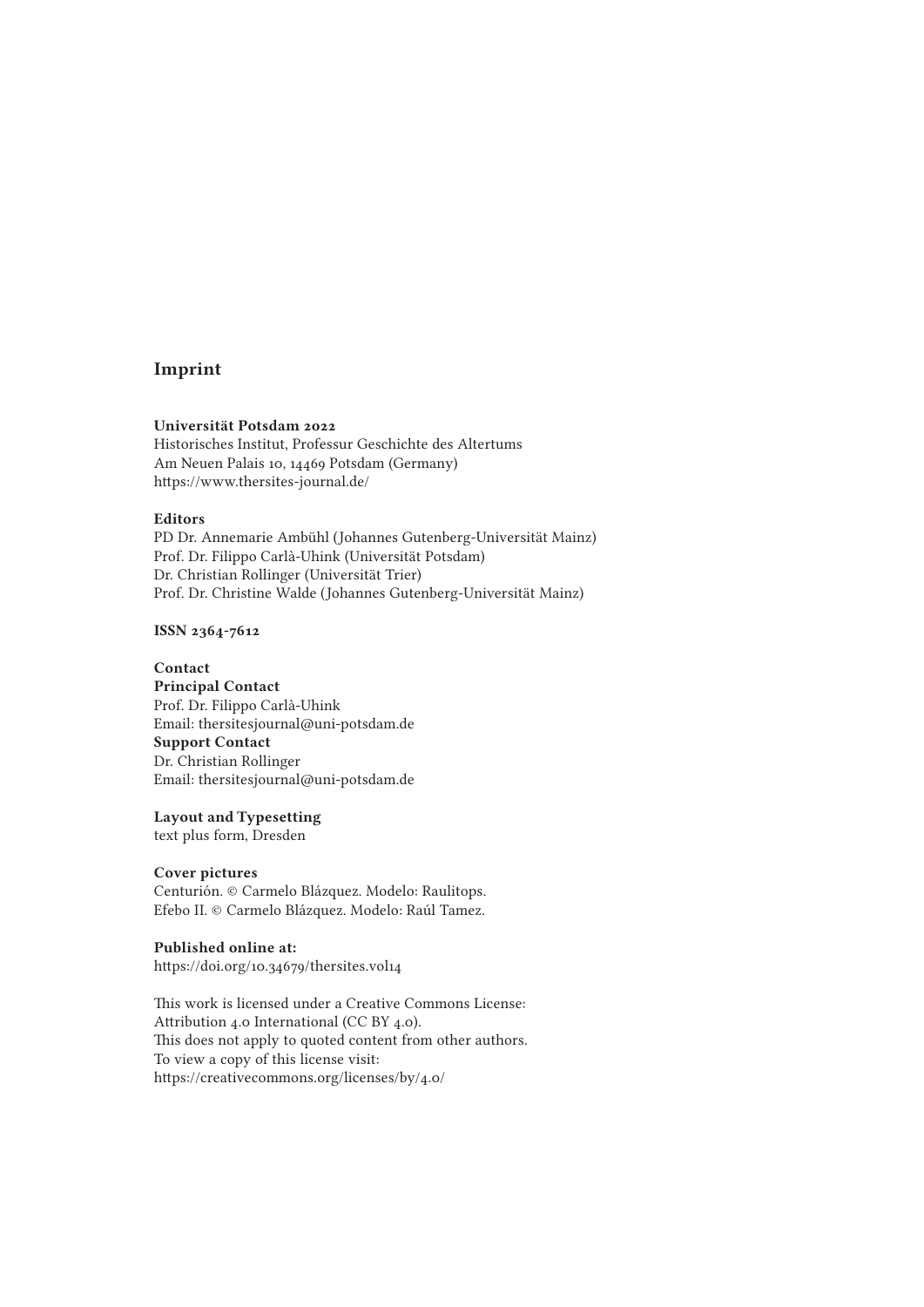#### Imprint

#### Universität Potsdam 2022

Historisches Institut, Professur Geschichte des Altertums Am Neuen Palais 10, 14469 Potsdam (Germany) https://www.thersites-journal.de/

#### Editors

PD Dr. Annemarie Ambühl (Johannes Gutenberg-Universität Mainz) Prof. Dr. Filippo Carlà-Uhink (Universität Potsdam) Dr. Christian Rollinger (Universität Trier) Prof. Dr. Christine Walde (Johannes Gutenberg-Universität Mainz)

#### ISSN 2364-7612

#### Contact

Principal Contact Prof. Dr. Filippo Carlà-Uhink Email: thersitesjournal@uni-potsdam.de Support Contact Dr. Christian Rollinger Email: thersitesjournal@uni-potsdam.de

#### Layout and Typesetting

text plus form, Dresden

#### Cover pictures

Centurión. © Carmelo Blázquez. Modelo: Raulitops. Efebo II. © Carmelo Blázquez. Modelo: Raúl Tamez.

#### Published online at:

<https://doi.org/10.34679/thersites.vol14>

This work is licensed under a Creative Commons License: Attribution 4.0 International (CC BY 4.0). This does not apply to quoted content from other authors. To view a copy of this license visit: <https://creativecommons.org/licenses/by/4.0/>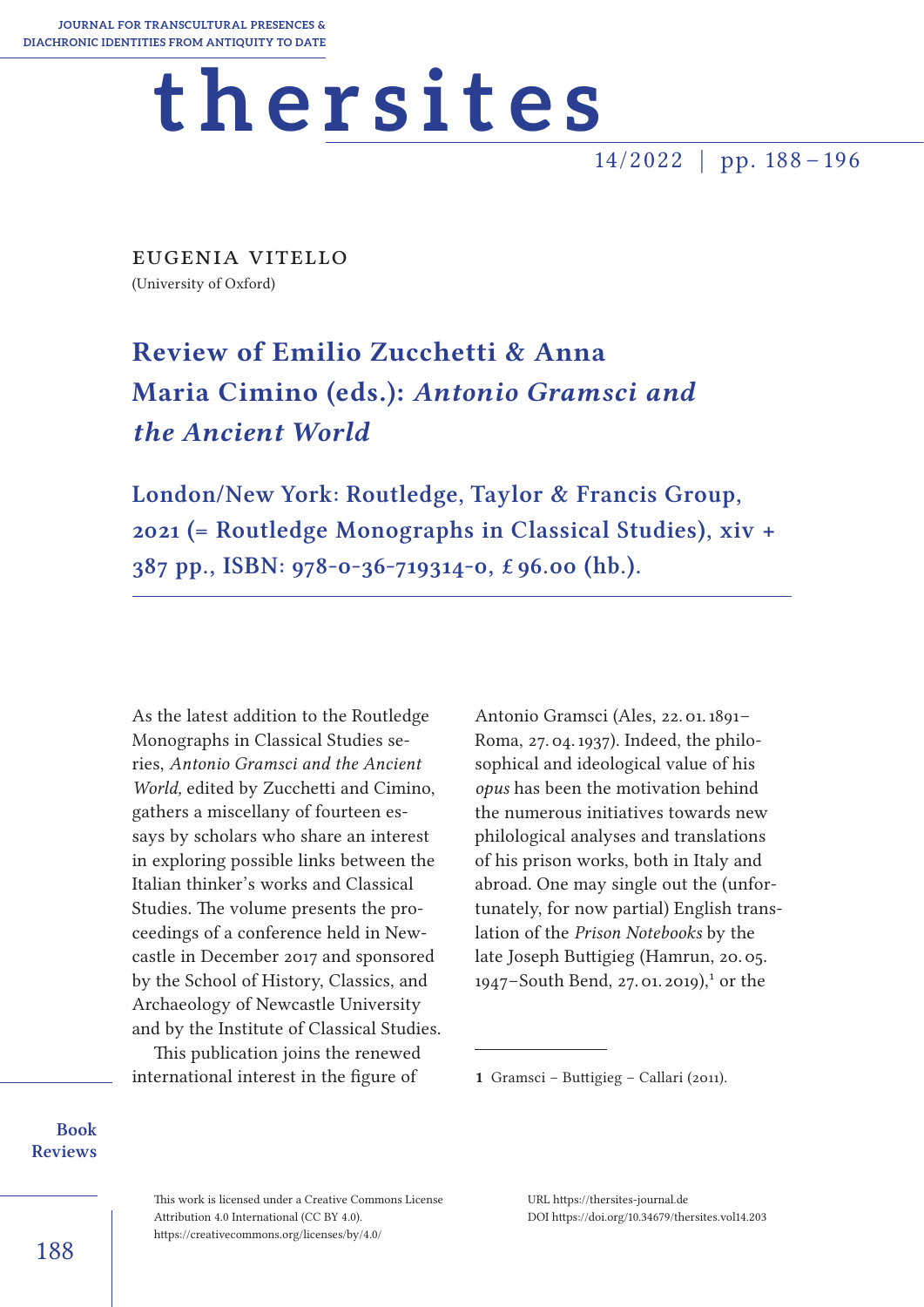# **thersites**

 $14/2022$  | pp. 188 - 196

Eugenia Vitello (University of Oxford)

### Review of Emilio Zucchetti & Anna Maria Cimino (eds.): *Antonio Gramsci and the Ancient World*

London/New York: Routledge, Taylor & Francis Group, 2021 (= Routledge Monographs in Classical Studies), xiv + 387 pp., ISBN: 978-0-36-719314-0, £ 96.00 (hb.).

As the latest addition to the Routledge Monographs in Classical Studies series, *Antonio Gramsci and the Ancient World,* edited by Zucchetti and Cimino, gathers a miscellany of fourteen essays by scholars who share an interest in exploring possible links between the Italian thinker's works and Classical Studies. The volume presents the proceedings of a conference held in Newcastle in December 2017 and sponsored by the School of History, Classics, and Archaeology of Newcastle University and by the Institute of Classical Studies.

This publication joins the renewed international interest in the figure of

Antonio Gramsci (Ales, 22. 01.1891– Roma, 27. 04. 1937). Indeed, the philosophical and ideological value of his *opus* has been the motivation behind the numerous initiatives towards new philological analyses and translations of his prison works, both in Italy and abroad. One may single out the (unfortunately, for now partial) English translation of the *Prison Notebooks* by the late Joseph Buttigieg (Hamrun, 20. 05.  1947–South Bend, 27.01.2019),<sup>1</sup> or the

Book Reviews

This work is licensed under a Creative Commons License Attribution 4.0 International (CC BY 4.0). <https://creativecommons.org/licenses/by/4.0/>

<sup>1</sup> Gramsci – Buttigieg – Callari (2011).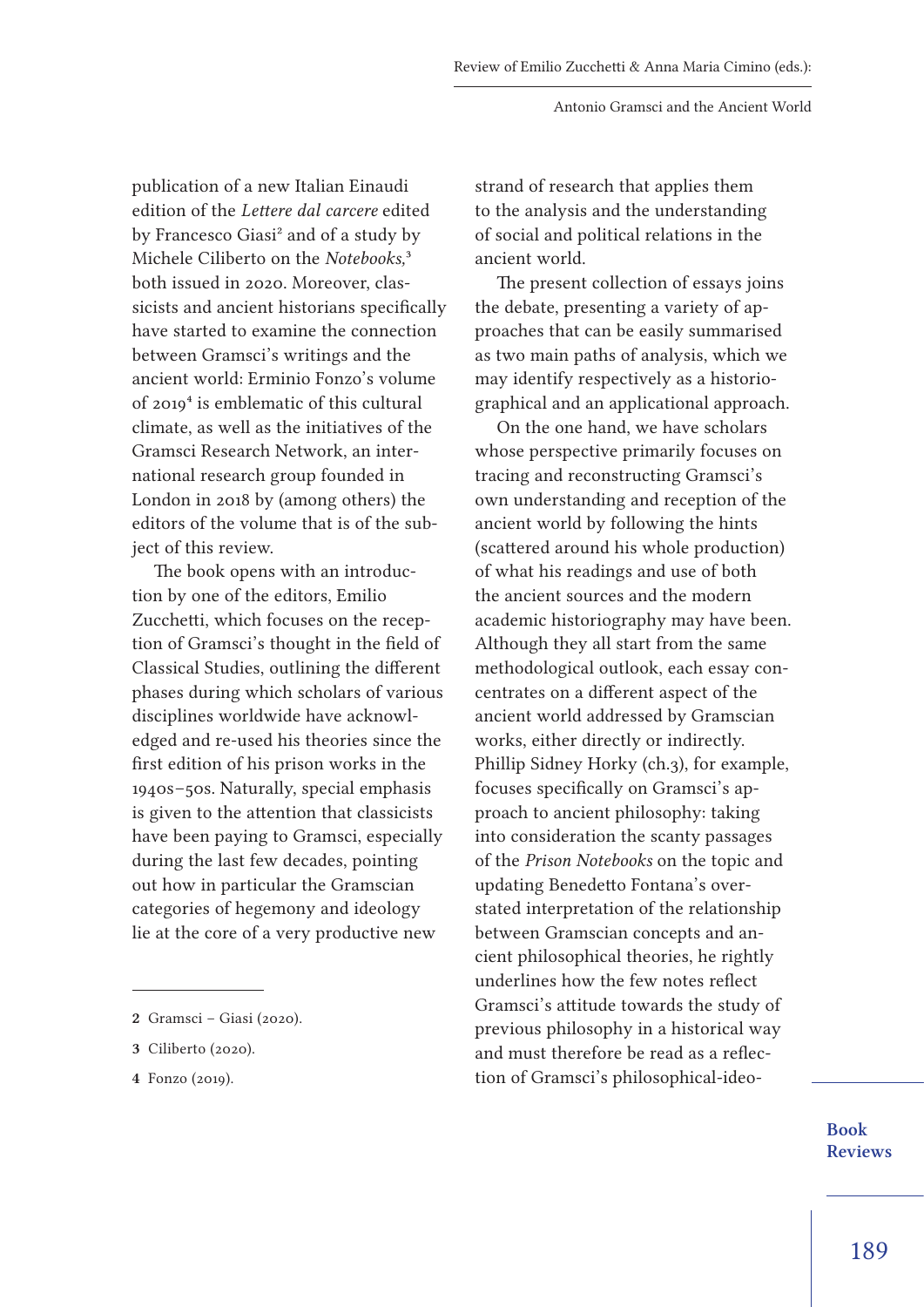publication of a new Italian Einaudi edition of the *Lettere dal carcere* edited by Francesco Giasi<sup>2</sup> and of a study by Michele Ciliberto on the *Notebooks,*3 both issued in 2020. Moreover, classicists and ancient historians specifically have started to examine the connection between Gramsci's writings and the ancient world: Erminio Fonzo's volume of 20194 is emblematic of this cultural climate, as well as the initiatives of the Gramsci Research Network, an international research group founded in London in 2018 by (among others) the editors of the volume that is of the subject of this review.

The book opens with an introduction by one of the editors, Emilio Zucchetti, which focuses on the reception of Gramsci's thought in the field of Classical Studies, outlining the different phases during which scholars of various disciplines worldwide have acknowledged and re-used his theories since the first edition of his prison works in the 1940s – 50s. Naturally, special emphasis is given to the attention that classicists have been paying to Gramsci, especially during the last few decades, pointing out how in particular the Gramscian categories of hegemony and ideology lie at the core of a very productive new

strand of research that applies them to the analysis and the understanding of social and political relations in the ancient world.

The present collection of essays joins the debate, presenting a variety of approaches that can be easily summarised as two main paths of analysis, which we may identify respectively as a historiographical and an applicational approach.

On the one hand, we have scholars whose perspective primarily focuses on tracing and reconstructing Gramsci's own understanding and reception of the ancient world by following the hints (scattered around his whole production) of what his readings and use of both the ancient sources and the modern academic historiography may have been. Although they all start from the same methodological outlook, each essay concentrates on a different aspect of the ancient world addressed by Gramscian works, either directly or indirectly. Phillip Sidney Horky (ch.3), for example, focuses specifically on Gramsci's approach to ancient philosophy: taking into consideration the scanty passages of the *Prison Notebooks* on the topic and updating Benedetto Fontana's overstated interpretation of the relationship between Gramscian concepts and ancient philosophical theories, he rightly underlines how the few notes reflect Gramsci's attitude towards the study of previous philosophy in a historical way and must therefore be read as a reflection of Gramsci's philosophical-ideo-

<sup>2</sup> Gramsci – Giasi (2020).

<sup>3</sup> Ciliberto (2020).

<sup>4</sup> Fonzo (2019).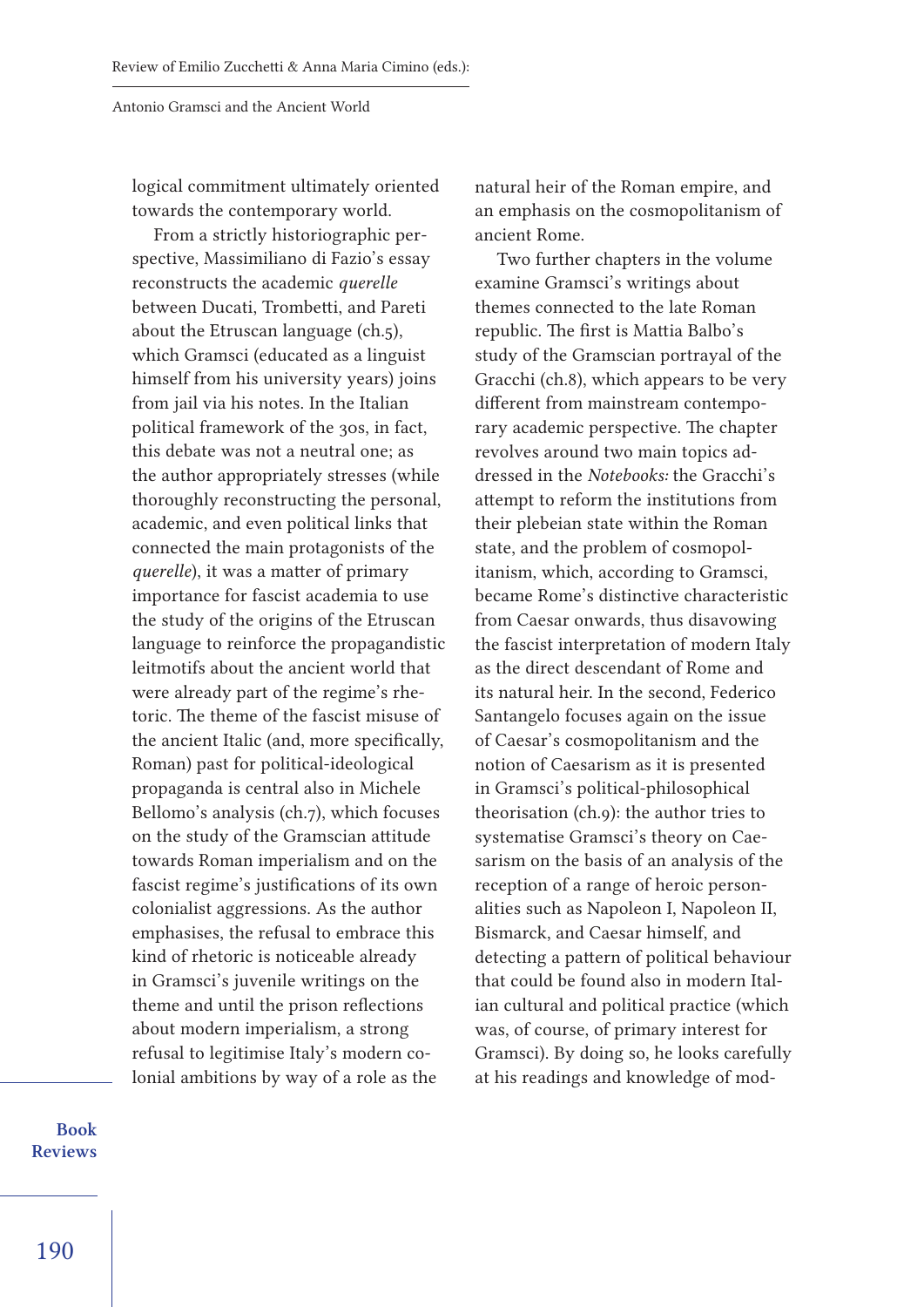logical commitment ultimately oriented towards the contemporary world.

From a strictly historiographic perspective, Massimiliano di Fazio's essay reconstructs the academic *querelle* between Ducati, Trombetti, and Pareti about the Etruscan language (ch.5), which Gramsci (educated as a linguist himself from his university years) joins from jail via his notes. In the Italian political framework of the 30s, in fact, this debate was not a neutral one; as the author appropriately stresses (while thoroughly reconstructing the personal, academic, and even political links that connected the main protagonists of the *querelle*), it was a matter of primary importance for fascist academia to use the study of the origins of the Etruscan language to reinforce the propagandistic leitmotifs about the ancient world that were already part of the regime's rhetoric. The theme of the fascist misuse of the ancient Italic (and, more specifically, Roman) past for political-ideological propaganda is central also in Michele Bellomo's analysis (ch.7), which focuses on the study of the Gramscian attitude towards Roman imperialism and on the fascist regime's justifications of its own colonialist aggressions. As the author emphasises, the refusal to embrace this kind of rhetoric is noticeable already in Gramsci's juvenile writings on the theme and until the prison reflections about modern imperialism, a strong refusal to legitimise Italy's modern colonial ambitions by way of a role as the

Book Reviews natural heir of the Roman empire, and an emphasis on the cosmopolitanism of ancient Rome.

Two further chapters in the volume examine Gramsci's writings about themes connected to the late Roman republic. The first is Mattia Balbo's study of the Gramscian portrayal of the Gracchi (ch.8), which appears to be very different from mainstream contemporary academic perspective. The chapter revolves around two main topics addressed in the *Notebooks:* the Gracchi's attempt to reform the institutions from their plebeian state within the Roman state, and the problem of cosmopolitanism, which, according to Gramsci, became Rome's distinctive characteristic from Caesar onwards, thus disavowing the fascist interpretation of modern Italy as the direct descendant of Rome and its natural heir. In the second, Federico Santangelo focuses again on the issue of Caesar's cosmopolitanism and the notion of Caesarism as it is presented in Gramsci's political-philosophical theorisation (ch.9): the author tries to systematise Gramsci's theory on Caesarism on the basis of an analysis of the reception of a range of heroic personalities such as Napoleon I, Napoleon II, Bismarck, and Caesar himself, and detecting a pattern of political behaviour that could be found also in modern Italian cultural and political practice (which was, of course, of primary interest for Gramsci). By doing so, he looks carefully at his readings and knowledge of mod-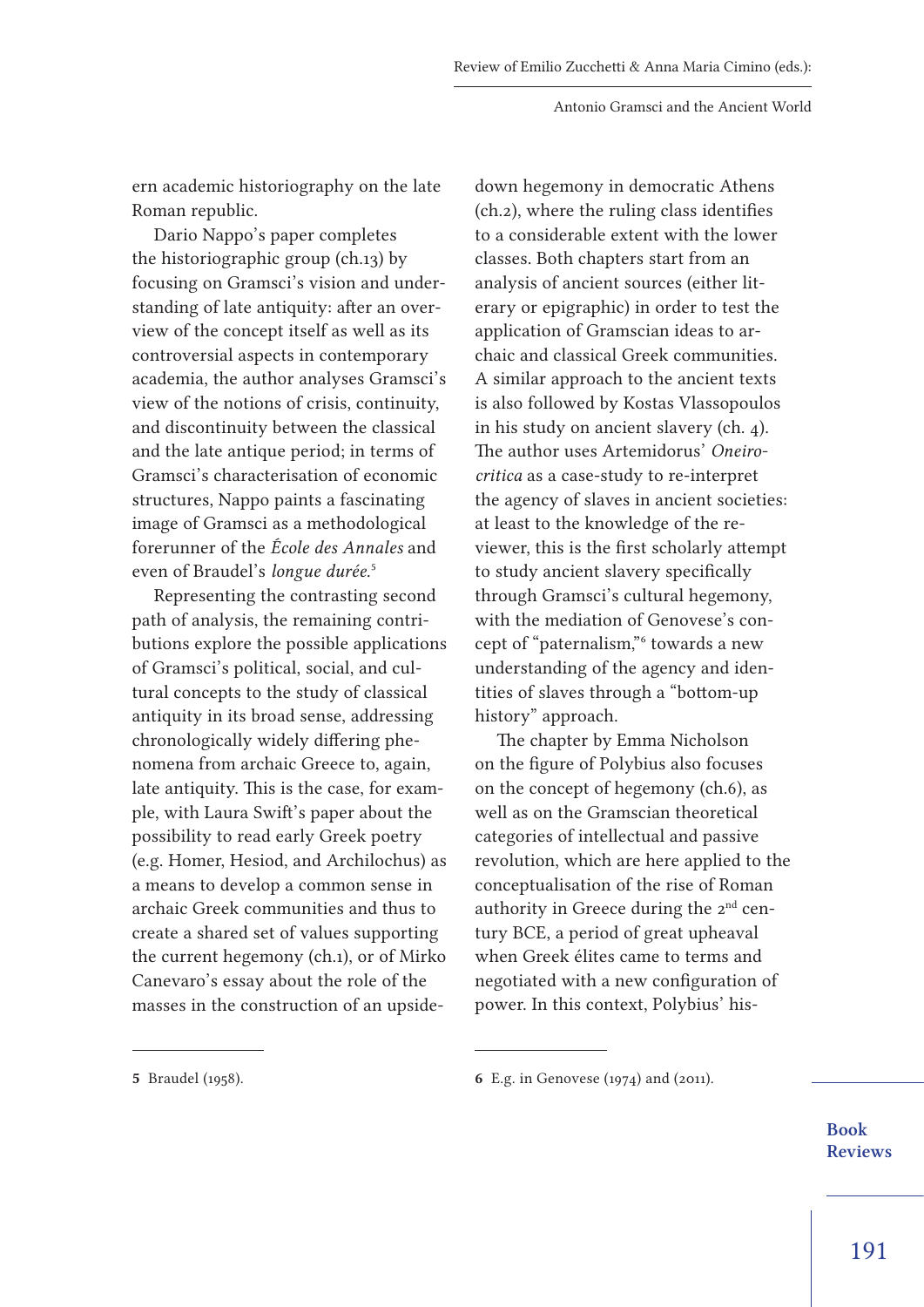ern academic historiography on the late Roman republic.

Dario Nappo's paper completes the historiographic group (ch.13) by focusing on Gramsci's vision and understanding of late antiquity: after an overview of the concept itself as well as its controversial aspects in contemporary academia, the author analyses Gramsci's view of the notions of crisis, continuity, and discontinuity between the classical and the late antique period; in terms of Gramsci's characterisation of economic structures, Nappo paints a fascinating image of Gramsci as a methodological forerunner of the *École des Annales* and even of Braudel's *longue durée.*5

Representing the contrasting second path of analysis, the remaining contributions explore the possible applications of Gramsci's political, social, and cultural concepts to the study of classical antiquity in its broad sense, addressing chronologically widely differing phenomena from archaic Greece to, again, late antiquity. This is the case, for example, with Laura Swift's paper about the possibility to read early Greek poetry (e.g. Homer, Hesiod, and Archilochus) as a means to develop a common sense in archaic Greek communities and thus to create a shared set of values supporting the current hegemony (ch.1), or of Mirko Canevaro's essay about the role of the masses in the construction of an upsidedown hegemony in democratic Athens (ch.2), where the ruling class identifies to a considerable extent with the lower classes. Both chapters start from an analysis of ancient sources (either literary or epigraphic) in order to test the application of Gramscian ideas to archaic and classical Greek communities. A similar approach to the ancient texts is also followed by Kostas Vlassopoulos in his study on ancient slavery (ch. 4). The author uses Artemidorus' *Oneirocritica* as a case-study to re-interpret the agency of slaves in ancient societies: at least to the knowledge of the reviewer, this is the first scholarly attempt to study ancient slavery specifically through Gramsci's cultural hegemony, with the mediation of Genovese's concept of "paternalism,"6 towards a new understanding of the agency and identities of slaves through a "bottom-up history" approach.

The chapter by Emma Nicholson on the figure of Polybius also focuses on the concept of hegemony (ch.6), as well as on the Gramscian theoretical categories of intellectual and passive revolution, which are here applied to the conceptualisation of the rise of Roman authority in Greece during the  $2<sup>nd</sup>$  century BCE, a period of great upheaval when Greek élites came to terms and negotiated with a new configuration of power. In this context, Polybius' his-

<sup>5</sup> Braudel (1958).

<sup>6</sup> E.g. in Genovese (1974) and (2011).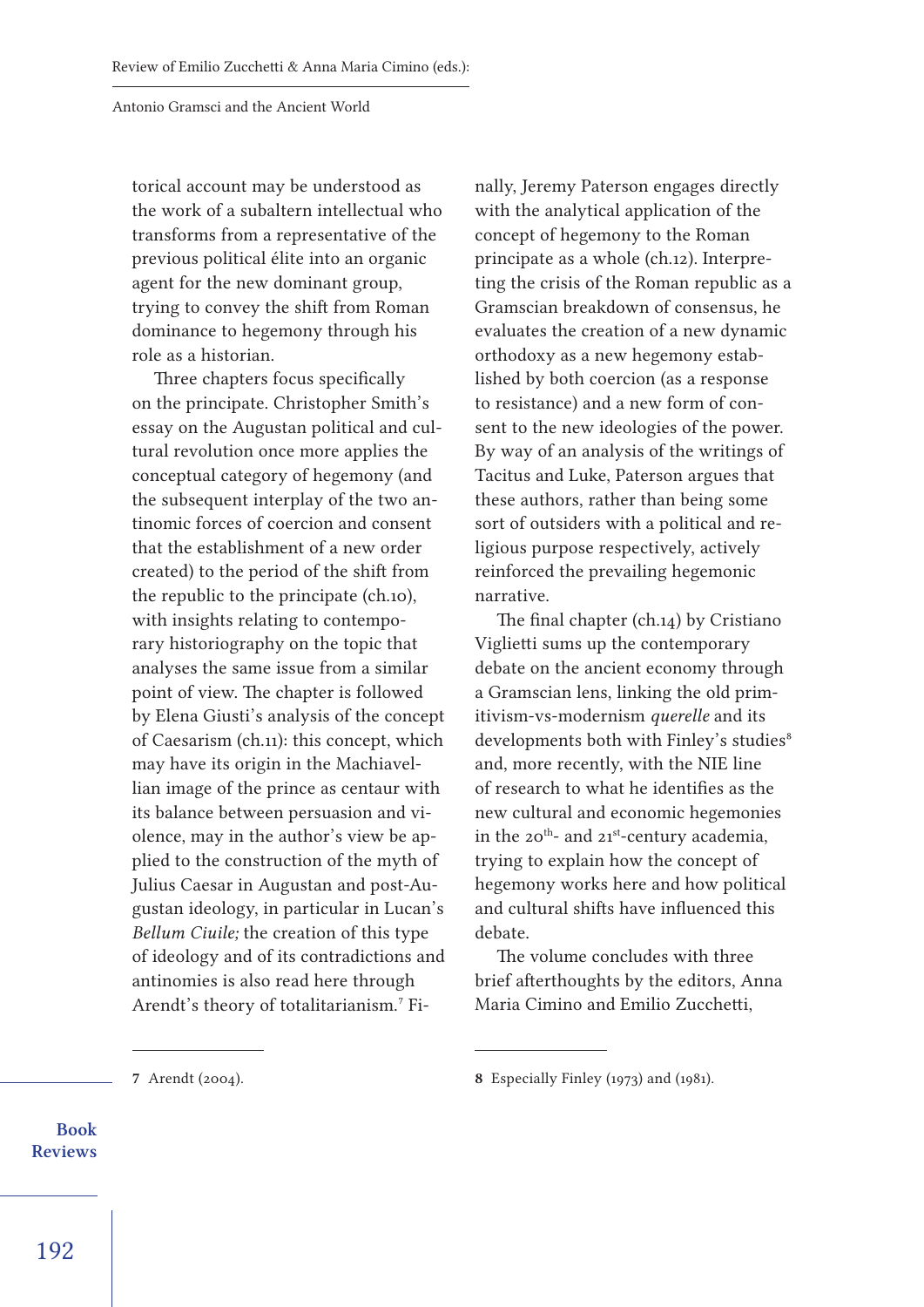torical account may be understood as the work of a subaltern intellectual who transforms from a representative of the previous political élite into an organic agent for the new dominant group, trying to convey the shift from Roman dominance to hegemony through his role as a historian.

Three chapters focus specifically on the principate. Christopher Smith's essay on the Augustan political and cultural revolution once more applies the conceptual category of hegemony (and the subsequent interplay of the two antinomic forces of coercion and consent that the establishment of a new order created) to the period of the shift from the republic to the principate (ch.10), with insights relating to contemporary historiography on the topic that analyses the same issue from a similar point of view. The chapter is followed by Elena Giusti's analysis of the concept of Caesarism (ch.11): this concept, which may have its origin in the Machiavellian image of the prince as centaur with its balance between persuasion and violence, may in the author's view be applied to the construction of the myth of Julius Caesar in Augustan and post-Augustan ideology, in particular in Lucan's *Bellum Ciuile;* the creation of this type of ideology and of its contradictions and antinomies is also read here through Arendt's theory of totalitarianism.<sup>7</sup> Finally, Jeremy Paterson engages directly with the analytical application of the concept of hegemony to the Roman principate as a whole (ch.12). Interpreting the crisis of the Roman republic as a Gramscian breakdown of consensus, he evaluates the creation of a new dynamic orthodoxy as a new hegemony established by both coercion (as a response to resistance) and a new form of consent to the new ideologies of the power. By way of an analysis of the writings of Tacitus and Luke, Paterson argues that these authors, rather than being some sort of outsiders with a political and religious purpose respectively, actively reinforced the prevailing hegemonic narrative.

The final chapter (ch.14) by Cristiano Viglietti sums up the contemporary debate on the ancient economy through a Gramscian lens, linking the old primitivism-vs-modernism *querelle* and its developments both with Finley's studies<sup>8</sup> and, more recently, with the NIE line of research to what he identifies as the new cultural and economic hegemonies in the  $20^{th}$ - and  $21^{st}$ -century academia, trying to explain how the concept of hegemony works here and how political and cultural shifts have influenced this debate.

The volume concludes with three brief afterthoughts by the editors, Anna Maria Cimino and Emilio Zucchetti,

<sup>7</sup> Arendt (2004).

<sup>8</sup> Especially Finley (1973) and (1981).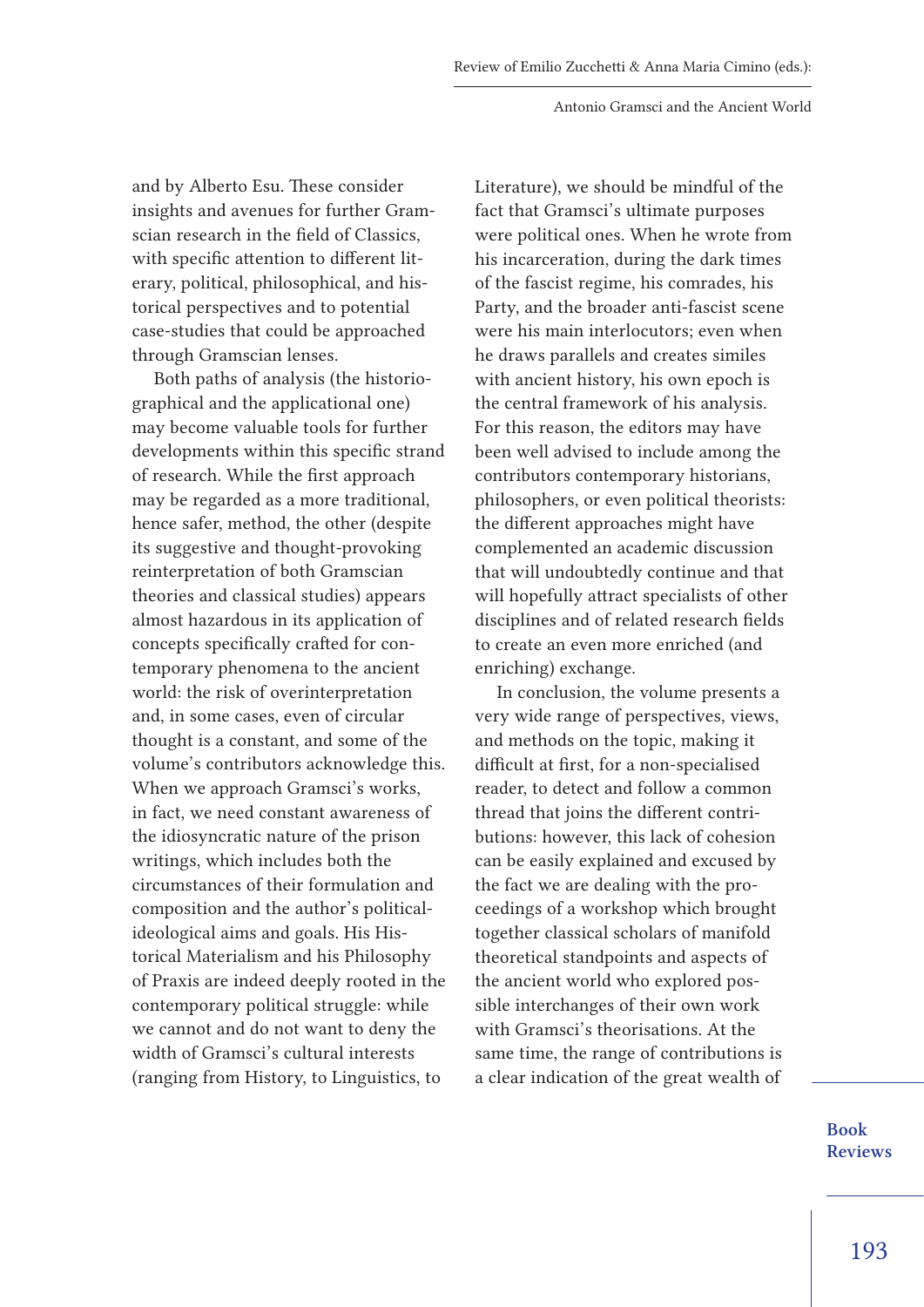and by Alberto Esu. These consider insights and avenues for further Gramscian research in the field of Classics, with specific attention to different literary, political, philosophical, and historical perspectives and to potential case-studies that could be approached through Gramscian lenses.

Both paths of analysis (the historiographical and the applicational one) may become valuable tools for further developments within this specific strand of research. While the first approach may be regarded as a more traditional, hence safer, method, the other (despite its suggestive and thought-provoking reinterpretation of both Gramscian theories and classical studies) appears almost hazardous in its application of concepts specifically crafted for contemporary phenomena to the ancient world: the risk of overinterpretation and, in some cases, even of circular thought is a constant, and some of the volume's contributors acknowledge this. When we approach Gramsci's works, in fact, we need constant awareness of the idiosyncratic nature of the prison writings, which includes both the circumstances of their formulation and composition and the author's politicalideological aims and goals. His Historical Materialism and his Philosophy of Praxis are indeed deeply rooted in the contemporary political struggle: while we cannot and do not want to deny the width of Gramsci's cultural interests (ranging from History, to Linguistics, to

Literature), we should be mindful of the fact that Gramsci's ultimate purposes were political ones. When he wrote from his incarceration, during the dark times of the fascist regime, his comrades, his Party, and the broader anti-fascist scene were his main interlocutors; even when he draws parallels and creates similes with ancient history, his own epoch is the central framework of his analysis. For this reason, the editors may have been well advised to include among the contributors contemporary historians, philosophers, or even political theorists: the different approaches might have complemented an academic discussion that will undoubtedly continue and that will hopefully attract specialists of other disciplines and of related research fields to create an even more enriched (and enriching) exchange.

In conclusion, the volume presents a very wide range of perspectives, views, and methods on the topic, making it difficult at first, for a non-specialised reader, to detect and follow a common thread that joins the different contributions: however, this lack of cohesion can be easily explained and excused by the fact we are dealing with the proceedings of a workshop which brought together classical scholars of manifold theoretical standpoints and aspects of the ancient world who explored possible interchanges of their own work with Gramsci's theorisations. At the same time, the range of contributions is a clear indication of the great wealth of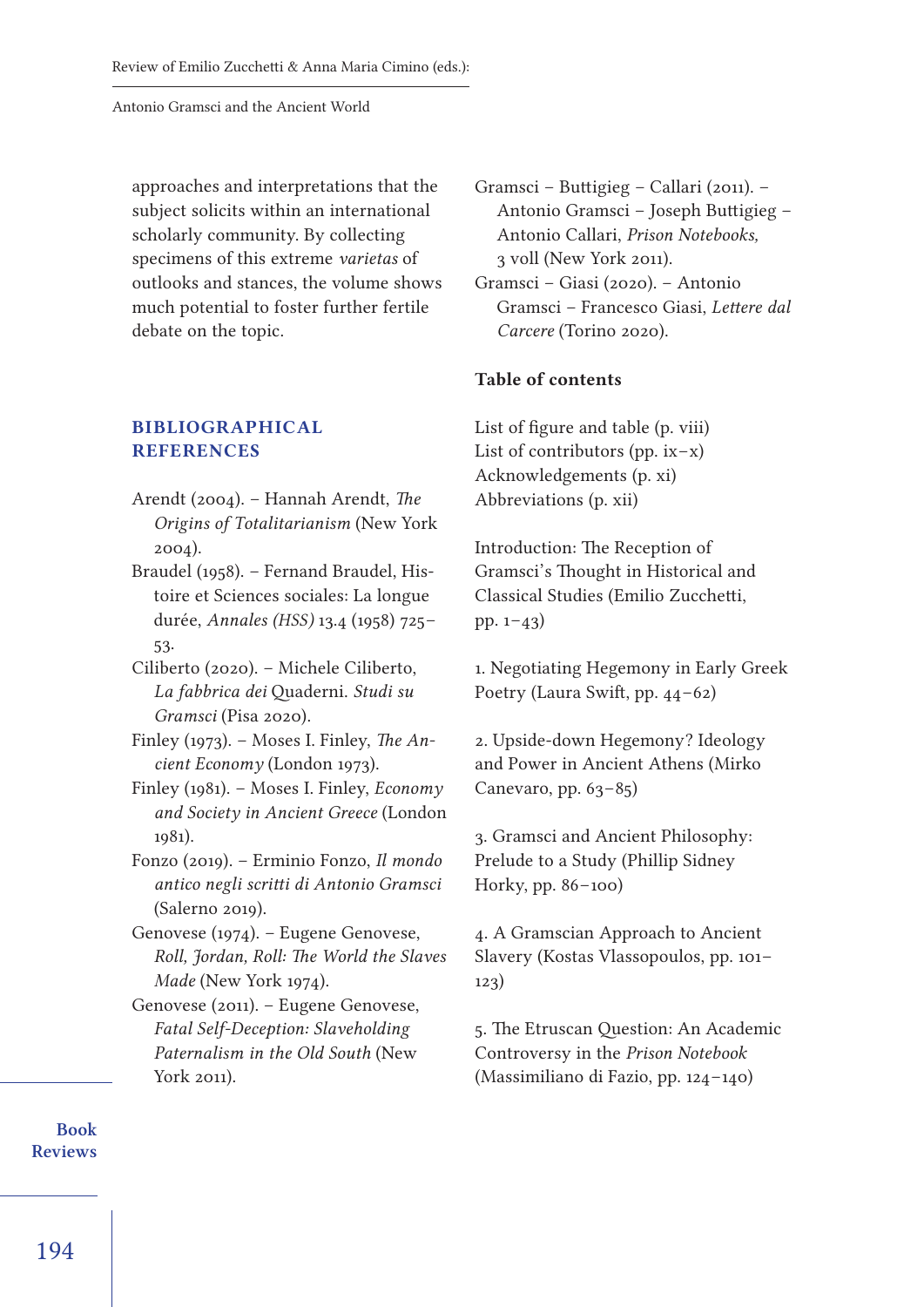approaches and interpretations that the subject solicits within an international scholarly community. By collecting specimens of this extreme *varietas* of outlooks and stances, the volume shows much potential to foster further fertile debate on the topic.

#### Bibliographical **REFERENCES**

- Arendt (2004). Hannah Arendt, *The Origins of Totalitarianism* (New York 2004).
- Braudel (1958). Fernand Braudel, Histoire et Sciences sociales: La longue durée, *Annales (HSS)* 13.4 (1958) 725 –  53.
- Ciliberto (2020). Michele Ciliberto, *La fabbrica dei* Quaderni. *Studi su Gramsci* (Pisa 2020).
- Finley (1973). Moses I. Finley, *The Ancient Economy* (London 1973).
- Finley (1981). Moses I. Finley, *Economy and Society in Ancient Greece* (London 1981).
- Fonzo (2019). Erminio Fonzo, *Il mondo antico negli scritti di Antonio Gramsci* (Salerno 2019).
- Genovese (1974). Eugene Genovese, *Roll, Jordan, Roll: The World the Slaves Made* (New York 1974).
- Genovese (2011). Eugene Genovese, *Fatal Self-Deception: Slaveholding Paternalism in the Old South* (New York 2011).

Gramsci – Buttigieg – Callari (2011). – Antonio Gramsci – Joseph Buttigieg – Antonio Callari, *Prison Notebooks,* 3 voll (New York 2011). Gramsci – Giasi (2020). – Antonio

Gramsci – Francesco Giasi, *Lettere dal Carcere* (Torino 2020).

#### Table of contents

List of figure and table (p. viii) List of contributors (pp.  $ix - x$ ) Acknowledgements (p. xi) Abbreviations (p. xii)

Introduction: The Reception of Gramsci's Thought in Historical and Classical Studies (Emilio Zucchetti, pp.  $1 - 43$ )

1. Negotiating Hegemony in Early Greek Poetry (Laura Swift, pp. 44–62)

2. Upside-down Hegemony? Ideology and Power in Ancient Athens (Mirko Canevaro, pp. 63–85)

3. Gramsci and Ancient Philosophy: Prelude to a Study (Phillip Sidney Horky, pp. 86-100)

4. A Gramscian Approach to Ancient Slavery (Kostas Vlassopoulos, pp. 101-123)

5. The Etruscan Question: An Academic Controversy in the *Prison Notebook* (Massimiliano di Fazio, pp. 124 – 140)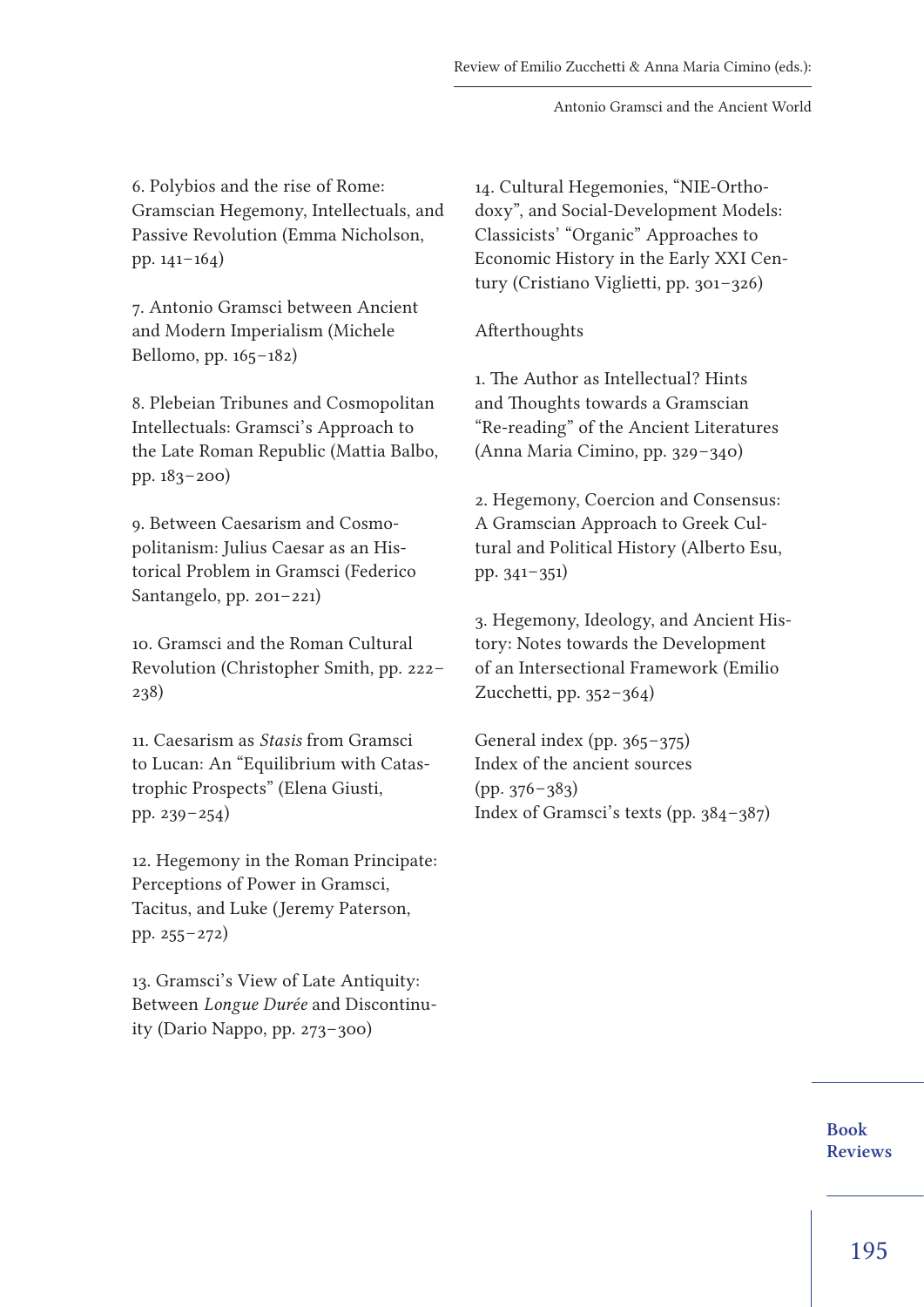6. Polybios and the rise of Rome: Gramscian Hegemony, Intellectuals, and Passive Revolution (Emma Nicholson, pp.  $141 - 164$ )

7. Antonio Gramsci between Ancient and Modern Imperialism (Michele Bellomo, pp. 165–182)

8. Plebeian Tribunes and Cosmopolitan Intellectuals: Gramsci's Approach to the Late Roman Republic (Mattia Balbo, pp. 183 – 200)

9. Between Caesarism and Cosmopolitanism: Julius Caesar as an Historical Problem in Gramsci (Federico Santangelo, pp. 201–221)

10. Gramsci and the Roman Cultural Revolution (Christopher Smith, pp. 222 –  238)

11. Caesarism as *Stasis* from Gramsci to Lucan: An "Equilibrium with Catastrophic Prospects" (Elena Giusti, pp.  $239 - 254$ )

12. Hegemony in the Roman Principate: Perceptions of Power in Gramsci, Tacitus, and Luke (Jeremy Paterson, pp. 255 – 272)

13. Gramsci's View of Late Antiquity: Between *Longue Durée* and Discontinuity (Dario Nappo, pp. 273 – 300)

14. Cultural Hegemonies, "NIE-Orthodoxy", and Social-Development Models: Classicists' "Organic" Approaches to Economic History in the Early XXI Century (Cristiano Viglietti, pp. 301 – 326)

#### Afterthoughts

1. The Author as Intellectual ? Hints and Thoughts towards a Gramscian "Re-reading" of the Ancient Literatures (Anna Maria Cimino, pp. 329 – 340)

2. Hegemony, Coercion and Consensus: A Gramscian Approach to Greek Cultural and Political History (Alberto Esu, pp.  $341 - 351$ 

3. Hegemony, Ideology, and Ancient History: Notes towards the Development of an Intersectional Framework (Emilio Zucchetti, pp. 352–364)

General index (pp.  $365 - 375$ ) Index of the ancient sources  $(pp. 376 - 383)$ Index of Gramsci's texts (pp. 384 – 387)